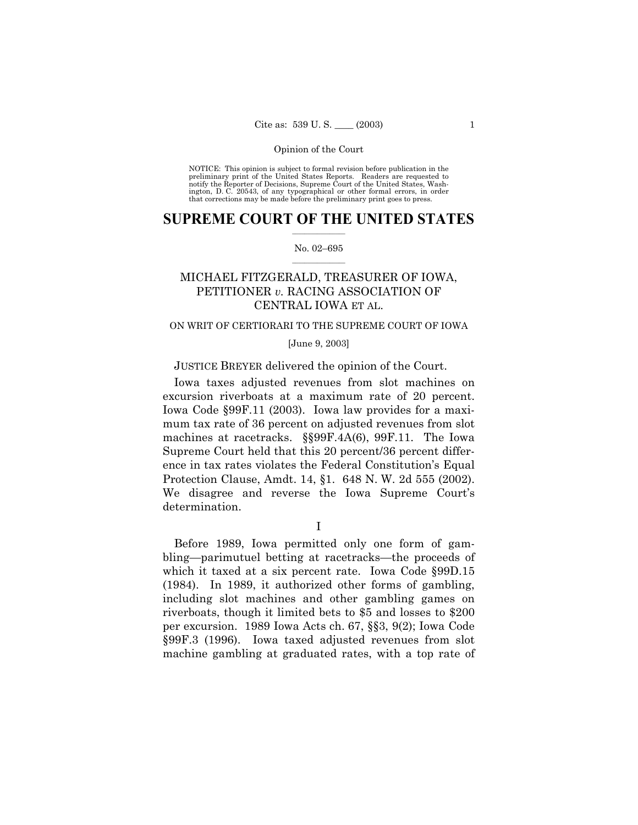NOTICE: This opinion is subject to formal revision before publication in the preliminary print of the United States Reports. Readers are requested to notify the Reporter of Decisions, Supreme Court of the United States, Wa ington, D. C. 20543, of any typographical or other formal errors, in order that corrections may be made before the preliminary print goes to press.

### **SUPREME COURT OF THE UNITED STATES**  $\mathcal{L}=\mathcal{L}^{\mathcal{L}}$

#### No. 02-695  $\mathcal{L}=\mathcal{L}^{\mathcal{L}}$

# MICHAEL FITZGERALD, TREASURER OF IOWA, PETITIONER *v.* RACING ASSOCIATION OF CENTRAL IOWA ET AL.

## ON WRIT OF CERTIORARI TO THE SUPREME COURT OF IOWA

#### [June 9, 2003]

### JUSTICE BREYER delivered the opinion of the Court.

Iowa taxes adjusted revenues from slot machines on excursion riverboats at a maximum rate of 20 percent. Iowa Code ß99F.11 (2003). Iowa law provides for a maximum tax rate of 36 percent on adjusted revenues from slot machines at racetracks. §§99F.4A(6), 99F.11. The Iowa Supreme Court held that this 20 percent/36 percent difference in tax rates violates the Federal Constitutionís Equal Protection Clause, Amdt. 14, ß1. 648 N. W. 2d 555 (2002). We disagree and reverse the Iowa Supreme Court's determination.

I

Before 1989, Iowa permitted only one form of gambling—parimutuel betting at racetracks—the proceeds of which it taxed at a six percent rate. Iowa Code §99D.15 (1984). In 1989, it authorized other forms of gambling, including slot machines and other gambling games on riverboats, though it limited bets to \$5 and losses to \$200 per excursion. 1989 Iowa Acts ch. 67, §§3, 9(2); Iowa Code ß99F.3 (1996). Iowa taxed adjusted revenues from slot machine gambling at graduated rates, with a top rate of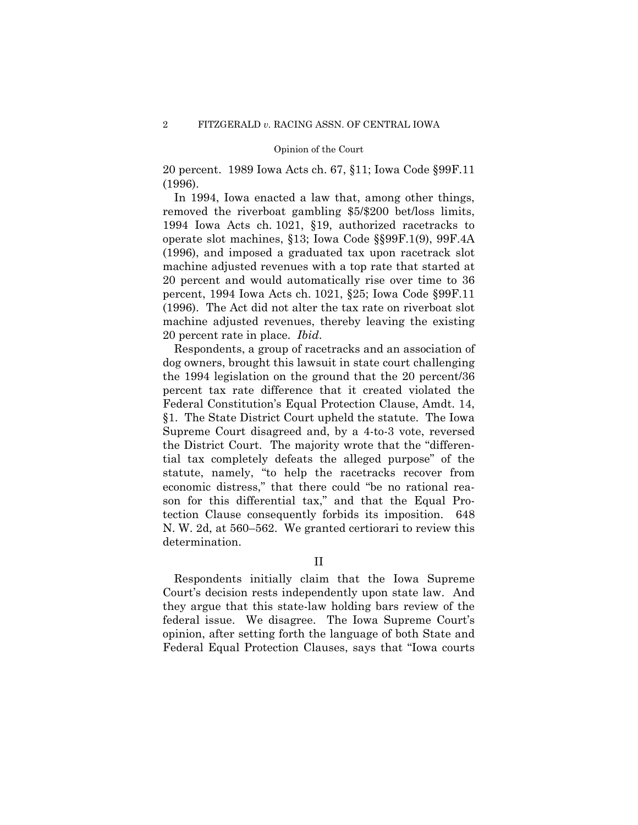20 percent. 1989 Iowa Acts ch. 67, ß11; Iowa Code ß99F.11 (1996).

In 1994, Iowa enacted a law that, among other things, removed the riverboat gambling \$5/\$200 bet/loss limits, 1994 Iowa Acts ch. 1021, ß19, authorized racetracks to operate slot machines, ß13; Iowa Code ßß99F.1(9), 99F.4A (1996), and imposed a graduated tax upon racetrack slot machine adjusted revenues with a top rate that started at 20 percent and would automatically rise over time to 36 percent, 1994 Iowa Acts ch. 1021, ß25; Iowa Code ß99F.11 (1996). The Act did not alter the tax rate on riverboat slot machine adjusted revenues, thereby leaving the existing 20 percent rate in place. *Ibid*.

Respondents, a group of racetracks and an association of dog owners, brought this lawsuit in state court challenging the 1994 legislation on the ground that the 20 percent/36 percent tax rate difference that it created violated the Federal Constitution's Equal Protection Clause, Amdt. 14, ß1. The State District Court upheld the statute. The Iowa Supreme Court disagreed and, by a 4-to-3 vote, reversed the District Court. The majority wrote that the "differential tax completely defeats the alleged purpose" of the statute, namely, "to help the racetracks recover from economic distress," that there could "be no rational reason for this differential tax," and that the Equal Protection Clause consequently forbids its imposition. 648 N. W. 2d, at  $560-562$ . We granted certiorari to review this determination.

II

Respondents initially claim that the Iowa Supreme Court's decision rests independently upon state law. And they argue that this state-law holding bars review of the federal issue. We disagree. The Iowa Supreme Court's opinion, after setting forth the language of both State and Federal Equal Protection Clauses, says that "Iowa courts"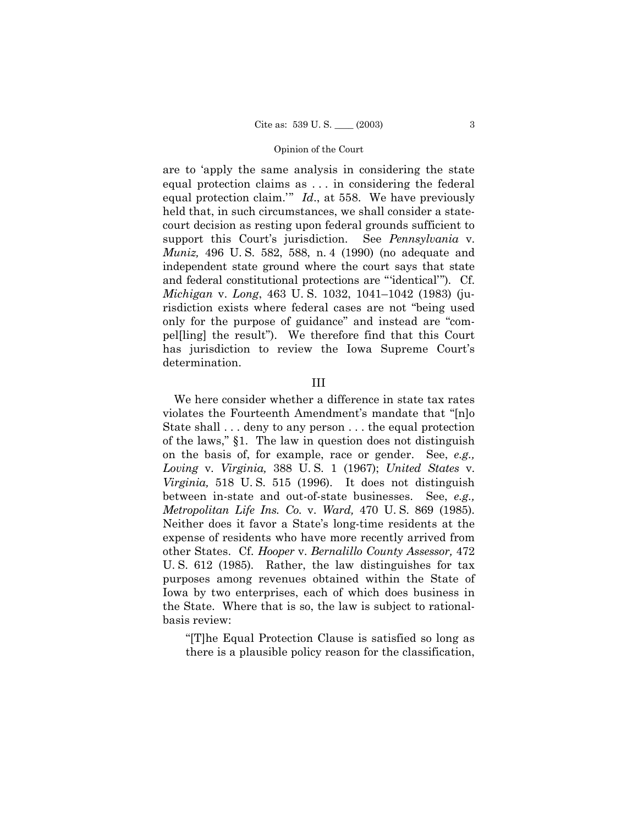are to 'apply the same analysis in considering the state equal protection claims as ... in considering the federal equal protection claim."  $Id.$ , at 558. We have previously held that, in such circumstances, we shall consider a statecourt decision as resting upon federal grounds sufficient to support this Court's jurisdiction. See *Pennsylvania* v. *Muniz*, 496 U.S. 582, 588, n. 4 (1990) (no adequate and independent state ground where the court says that state and federal constitutional protections are "identical"). Cf. *Michigan v. Long,* 463 U.S. 1032, 1041–1042 (1983) (jurisdiction exists where federal cases are not "being used only for the purpose of guidance" and instead are "compelling the result"). We therefore find that this Court has jurisdiction to review the Iowa Supreme Court's determination.

#### $III$

We here consider whether a difference in state tax rates violates the Fourteenth Amendment's mandate that "[n]o State shall . . . deny to any person . . . the equal protection of the laws," §1. The law in question does not distinguish on the basis of, for example, race or gender. See, e.g., Loving v. Virginia, 388 U.S. 1 (1967); United States v. Virginia, 518 U.S. 515 (1996). It does not distinguish between in-state and out-of-state businesses. See, e.g., Metropolitan Life Ins. Co. v. Ward, 470 U.S. 869 (1985). Neither does it favor a State's long-time residents at the expense of residents who have more recently arrived from other States. Cf. Hooper v. Bernalillo County Assessor, 472 U.S. 612 (1985). Rather, the law distinguishes for tax purposes among revenues obtained within the State of Iowa by two enterprises, each of which does business in the State. Where that is so, the law is subject to rationalbasis review:

"The Equal Protection Clause is satisfied so long as there is a plausible policy reason for the classification,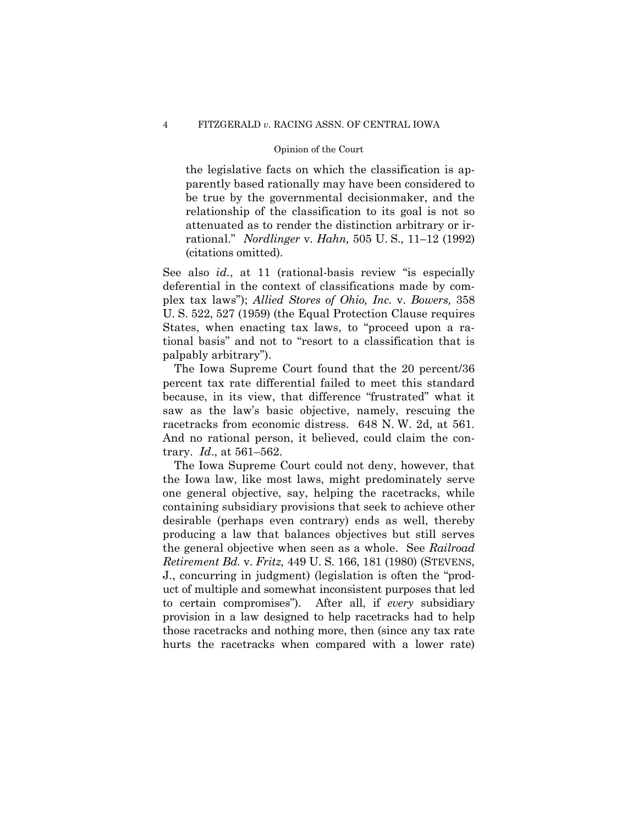the legislative facts on which the classification is apparently based rationally may have been considered to be true by the governmental decisionmaker, and the relationship of the classification to its goal is not so attenuated as to render the distinction arbitrary or inrational." *Nordlinger* v. *Hahn*, 505 U.S., 11–12 (1992) (citations omitted).

See also *id.*, at 11 (rational-basis review "is especially deferential in the context of classifications made by complex tax laws"); Allied Stores of Ohio, Inc. v. Bowers, 358 U.S. 522, 527 (1959) (the Equal Protection Clause requires States, when enacting tax laws, to "proceed upon a rational basis" and not to "resort to a classification that is palpably arbitrary").

The Iowa Supreme Court found that the 20 percent/36 percent tax rate differential failed to meet this standard because, in its view, that difference "frustrated" what it saw as the law's basic objective, namely, rescuing the racetracks from economic distress. 648 N.W. 2d, at 561. And no rational person, it believed, could claim the contrary.  $Id.$ , at 561-562.

The Iowa Supreme Court could not deny, however, that the Iowa law, like most laws, might predominately serve one general objective, say, helping the racetracks, while containing subsidiary provisions that seek to achieve other desirable (perhaps even contrary) ends as well, thereby producing a law that balances objectives but still serves the general objective when seen as a whole. See Railroad *Retirement Bd. v. Fritz, 449 U.S. 166, 181 (1980) (STEVENS,* J., concurring in judgment) (legislation is often the "product of multiple and somewhat inconsistent purposes that led to certain compromises"). After all, if every subsidiary provision in a law designed to help racetracks had to help those racetracks and nothing more, then (since any tax rate hurts the racetracks when compared with a lower rate)

 $\overline{4}$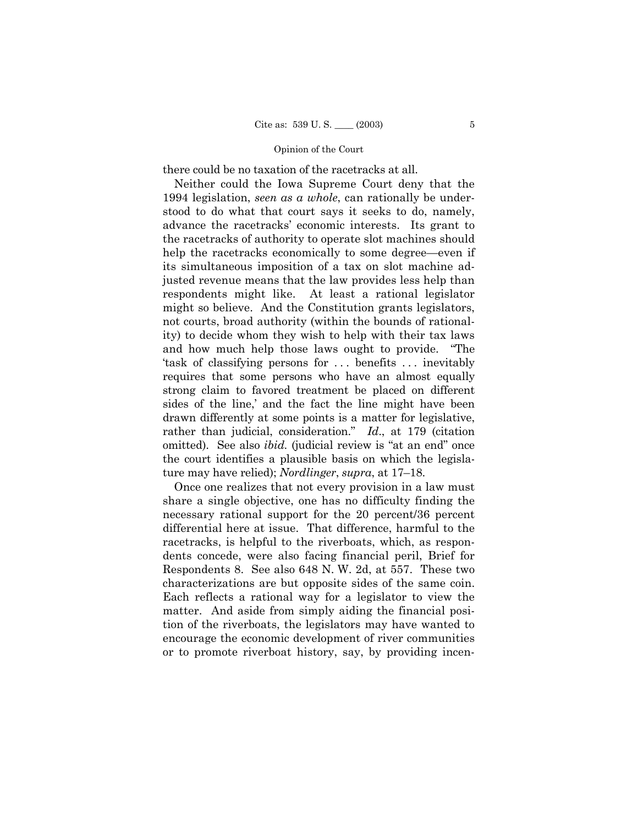there could be no taxation of the racetracks at all.

Neither could the Iowa Supreme Court deny that the 1994 legislation, *seen as a whole*, can rationally be understood to do what that court says it seeks to do, namely, advance the racetracks' economic interests. Its grant to the racetracks of authority to operate slot machines should help the racetracks economically to some degree—even if its simultaneous imposition of a tax on slot machine adjusted revenue means that the law provides less help than respondents might like. At least a rational legislator might so believe. And the Constitution grants legislators, not courts, broad authority (within the bounds of rationality) to decide whom they wish to help with their tax laws and how much help those laws ought to provide. "The task of classifying persons for ... benefits ... inevitably requires that some persons who have an almost equally strong claim to favored treatment be placed on different sides of the line, and the fact the line might have been drawn differently at some points is a matter for legislative, rather than judicial, consideration.<sup>n</sup> *Id.*, at 179 (citation omitted). See also *ibid*. (judicial review is "at an end" once the court identifies a plausible basis on which the legislature may have relied); *Nordlinger*, *supra*, at 17–18.

Once one realizes that not every provision in a law must share a single objective, one has no difficulty finding the necessary rational support for the 20 percent/36 percent differential here at issue. That difference, harmful to the racetracks, is helpful to the riverboats, which, as respondents concede, were also facing financial peril, Brief for Respondents 8. See also 648 N. W. 2d, at 557. These two characterizations are but opposite sides of the same coin. Each reflects a rational way for a legislator to view the matter. And aside from simply aiding the financial position of the riverboats, the legislators may have wanted to encourage the economic development of river communities or to promote riverboat history, say, by providing incen-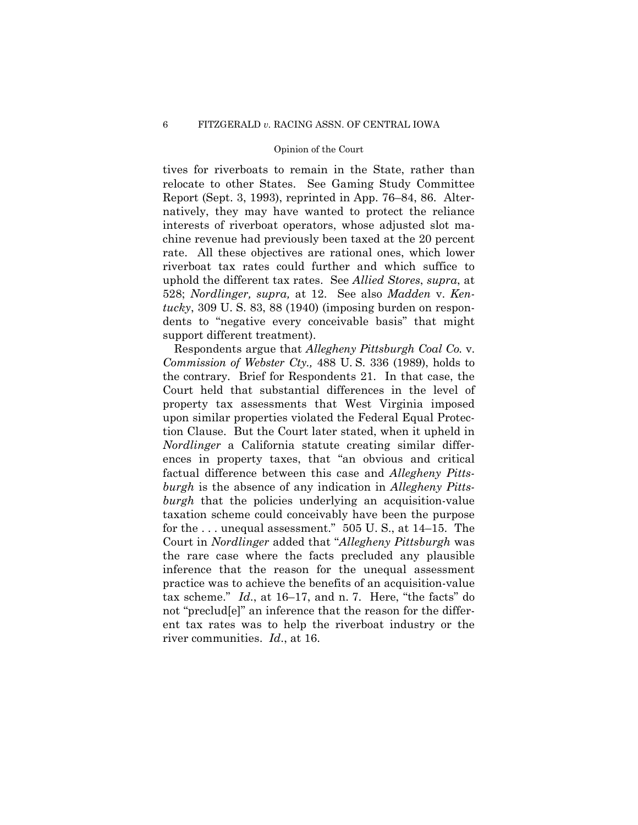tives for riverboats to remain in the State, rather than relocate to other States. See Gaming Study Committee Report (Sept. 3, 1993), reprinted in App. 76–84, 86. Alternatively, they may have wanted to protect the reliance interests of riverboat operators, whose adjusted slot machine revenue had previously been taxed at the 20 percent rate. All these objectives are rational ones, which lower riverboat tax rates could further and which suffice to uphold the different tax rates. See *Allied Stores*, *supra*, at 528; Nordlinger, supra, at 12. See also Madden v. Kentucky,  $309 \text{ U}$ . S.  $83, 88 \text{ (1940)}$  (imposing burden on respondents to "negative every conceivable basis" that might support different treatment).

Respondents argue that Allegheny Pittsburgh Coal Co. v. *Commission of Webster Cty.*, 488 U.S. 336 (1989), holds to the contrary. Brief for Respondents 21. In that case, the Court held that substantial differences in the level of property tax assessments that West Virginia imposed upon similar properties violated the Federal Equal Protection Clause. But the Court later stated, when it upheld in Nordlinger a California statute creating similar differences in property taxes, that "an obvious and critical factual difference between this case and Allegheny Pittsburgh is the absence of any indication in Allegheny Pitts*burgh* that the policies underlying an acquisition-value taxation scheme could conceivably have been the purpose for the ... unequal assessment."  $505$  U.S., at  $14-15$ . The Court in *Nordlinger* added that "Allegheny Pittsburgh was the rare case where the facts precluded any plausible inference that the reason for the unequal assessment practice was to achieve the benefits of an acquisition-value tax scheme."  $Id.$ , at 16–17, and n. 7. Here, "the facts" do not "preclud[e]" an inference that the reason for the different tax rates was to help the riverboat industry or the river communities. *Id.*, at 16.

 $\,6\,$